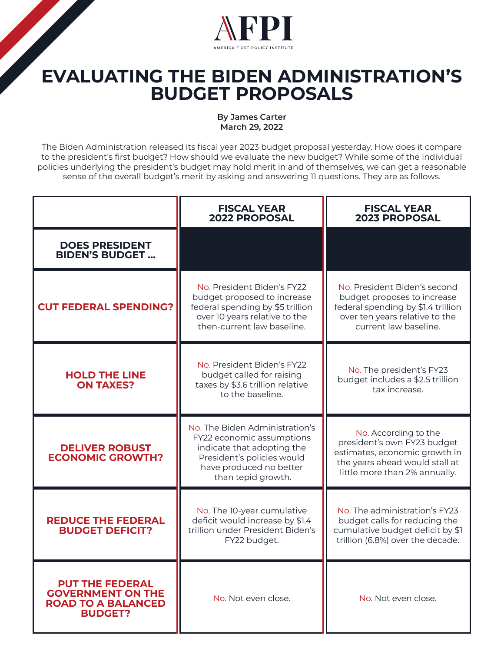

## **EVALUATING THE BIDEN ADMINISTRATION'S BUDGET PROPOSALS**

## **By James Carter March 29, 2022**

The Biden Administration released its fiscal year 2023 budget proposal yesterday. How does it compare to the president's first budget? How should we evaluate the new budget? While some of the individual policies underlying the president's budget may hold merit in and of themselves, we can get a reasonable sense of the overall budget's merit by asking and answering 11 questions. They are as follows.

|                                                                                                   | <b>FISCAL YEAR</b><br><b>2022 PROPOSAL</b>                                                                                                                               | <b>FISCAL YEAR</b><br><b>2023 PROPOSAL</b>                                                                                                                   |
|---------------------------------------------------------------------------------------------------|--------------------------------------------------------------------------------------------------------------------------------------------------------------------------|--------------------------------------------------------------------------------------------------------------------------------------------------------------|
| <b>DOES PRESIDENT</b><br><b>BIDEN'S BUDGET</b>                                                    |                                                                                                                                                                          |                                                                                                                                                              |
| <b>CUT FEDERAL SPENDING?</b>                                                                      | No. President Biden's FY22<br>budget proposed to increase<br>federal spending by \$5 trillion<br>over 10 years relative to the<br>then-current law baseline.             | No. President Biden's second<br>budget proposes to increase<br>federal spending by \$1.4 trillion<br>over ten years relative to the<br>current law baseline. |
| <b>HOLD THE LINE</b><br><b>ON TAXES?</b>                                                          | No. President Biden's FY22<br>budget called for raising<br>taxes by \$3.6 trillion relative<br>to the baseline.                                                          | No. The president's FY23<br>budget includes a \$2.5 trillion<br>tax increase.                                                                                |
| <b>DELIVER ROBUST</b><br><b>ECONOMIC GROWTH?</b>                                                  | No. The Biden Administration's<br>FY22 economic assumptions<br>indicate that adopting the<br>President's policies would<br>have produced no better<br>than tepid growth. | No. According to the<br>president's own FY23 budget<br>estimates, economic growth in<br>the years ahead would stall at<br>little more than 2% annually.      |
| <b>REDUCE THE FEDERAL</b><br><b>BUDGET DEFICIT?</b>                                               | No. The 10-year cumulative<br>deficit would increase by \$1.4<br>trillion under President Biden's<br>FY22 budget.                                                        | No. The administration's FY23<br>budget calls for reducing the<br>cumulative budget deficit by \$1<br>trillion (6.8%) over the decade.                       |
| <b>PUT THE FEDERAL</b><br><b>GOVERNMENT ON THE</b><br><b>ROAD TO A BALANCED</b><br><b>BUDGET?</b> | No. Not even close.                                                                                                                                                      | No. Not even close.                                                                                                                                          |